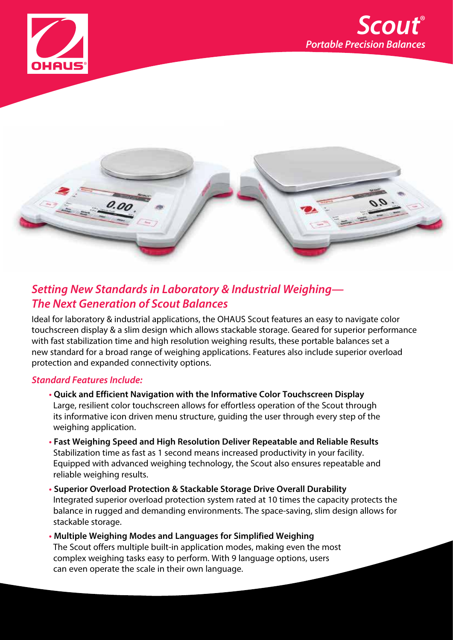





## **Setting New Standards in Laboratory & Industrial Weighing— The Next Generation of Scout Balances**

Ideal for laboratory & industrial applications, the OHAUS Scout features an easy to navigate color touchscreen display & a slim design which allows stackable storage. Geared for superior performance with fast stabilization time and high resolution weighing results, these portable balances set a new standard for a broad range of weighing applications. Features also include superior overload protection and expanded connectivity options.

## **Standard Features Include:**

- **• Quick and Efficient Navigation with the Informative Color Touchscreen Display** Large, resilient color touchscreen allows for effortless operation of the Scout through its informative icon driven menu structure, guiding the user through every step of the weighing application.
- **• Fast Weighing Speed and High Resolution Deliver Repeatable and Reliable Results** Stabilization time as fast as 1 second means increased productivity in your facility. Equipped with advanced weighing technology, the Scout also ensures repeatable and reliable weighing results.
- **• Superior Overload Protection & Stackable Storage Drive Overall Durability** Integrated superior overload protection system rated at 10 times the capacity protects the balance in rugged and demanding environments. The space-saving, slim design allows for stackable storage.
- **• Multiple Weighing Modes and Languages for Simplified Weighing** The Scout offers multiple built-in application modes, making even the most complex weighing tasks easy to perform. With 9 language options, users can even operate the scale in their own language.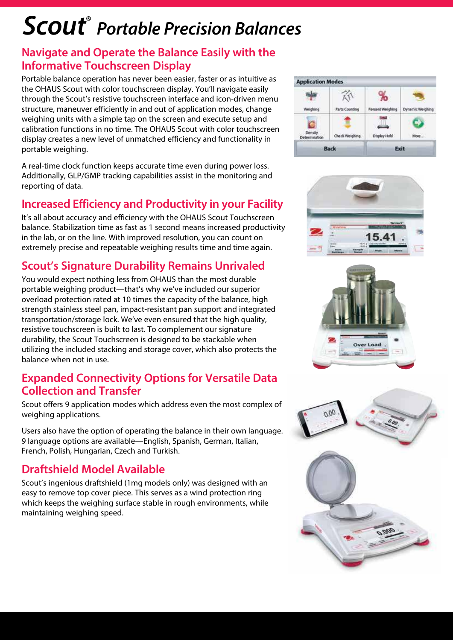# **Scout**® **Portable Precision Balances**

## **Navigate and Operate the Balance Easily with the Informative Touchscreen Display**

Portable balance operation has never been easier, faster or as intuitive as the OHAUS Scout with color touchscreen display. You'll navigate easily through the Scout's resistive touchscreen interface and icon-driven menu structure, maneuver efficiently in and out of application modes, change weighing units with a simple tap on the screen and execute setup and calibration functions in no time. The OHAUS Scout with color touchscreen display creates a new level of unmatched efficiency and functionality in portable weighing.

A real-time clock function keeps accurate time even during power loss. Additionally, GLP/GMP tracking capabilities assist in the monitoring and reporting of data.

# **Increased Efficiency and Productivity in your Facility**

It's all about accuracy and efficiency with the OHAUS Scout Touchscreen balance. Stabilization time as fast as 1 second means increased productivity in the lab, or on the line. With improved resolution, you can count on extremely precise and repeatable weighing results time and time again.

# **Scout's Signature Durability Remains Unrivaled**

You would expect nothing less from OHAUS than the most durable portable weighing product—that's why we've included our superior overload protection rated at 10 times the capacity of the balance, high strength stainless steel pan, impact-resistant pan support and integrated transportation/storage lock. We've even ensured that the high quality, resistive touchscreen is built to last. To complement our signature durability, the Scout Touchscreen is designed to be stackable when utilizing the included stacking and storage cover, which also protects the balance when not in use.

## **Expanded Connectivity Options for Versatile Data Collection and Transfer**

Scout offers 9 application modes which address even the most complex of weighing applications.

Users also have the option of operating the balance in their own language. 9 language options are available—English, Spanish, German, Italian, French, Polish, Hungarian, Czech and Turkish.

## **Draftshield Model Available**

Scout's ingenious draftshield (1mg models only) was designed with an easy to remove top cover piece. This serves as a wind protection ring which keeps the weighing surface stable in rough environments, while maintaining weighing speed.







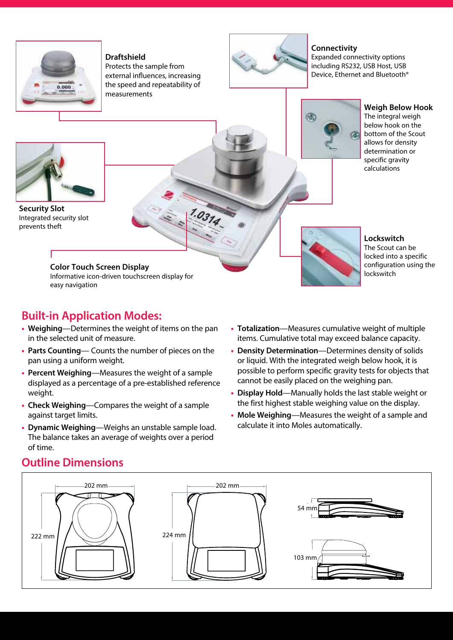

#### **Draftshield**

Protects the sample from external influences, increasing the speed and repeatability of measurements

 $1.0314$ 



#### **Connectivity**

Expanded connectivity options including RS232, USB Host, USB Device, Ethernet and Bluetooth®



**Weigh Below Hook** The integral weigh below hook on the bottom of the Scout allows for density determination or specific gravity calculations



**Security Slot** Integrated security slot prevents theft

### **Color Touch Screen Display**

Informative icon-driven touchscreen display for easy navigation

## **Built-in Application Modes:**

- **Weighing**—Determines the weight of items on the pan in the selected unit of measure.
- **Parts Counting** Counts the number of pieces on the pan using a uniform weight.
- **Percent Weighing**—Measures the weight of a sample displayed as a percentage of a pre-established reference weight.
- **Check Weighing**—Compares the weight of a sample against target limits.
- **Dynamic Weighing**—Weighs an unstable sample load. The balance takes an average of weights over a period of time.

**Lockswitch** The Scout can be locked into a specific configuration using the lockswitch

- **Totalization**—Measures cumulative weight of multiple items. Cumulative total may exceed balance capacity.
- **Density Determination**—Determines density of solids or liquid. With the integrated weigh below hook, it is possible to perform specific gravity tests for objects that cannot be easily placed on the weighing pan.
- **Display Hold**—Manually holds the last stable weight or the first highest stable weighing value on the display.
- **Mole Weighing**—Measures the weight of a sample and calculate it into Moles automatically.

# **Outline Dimensions**